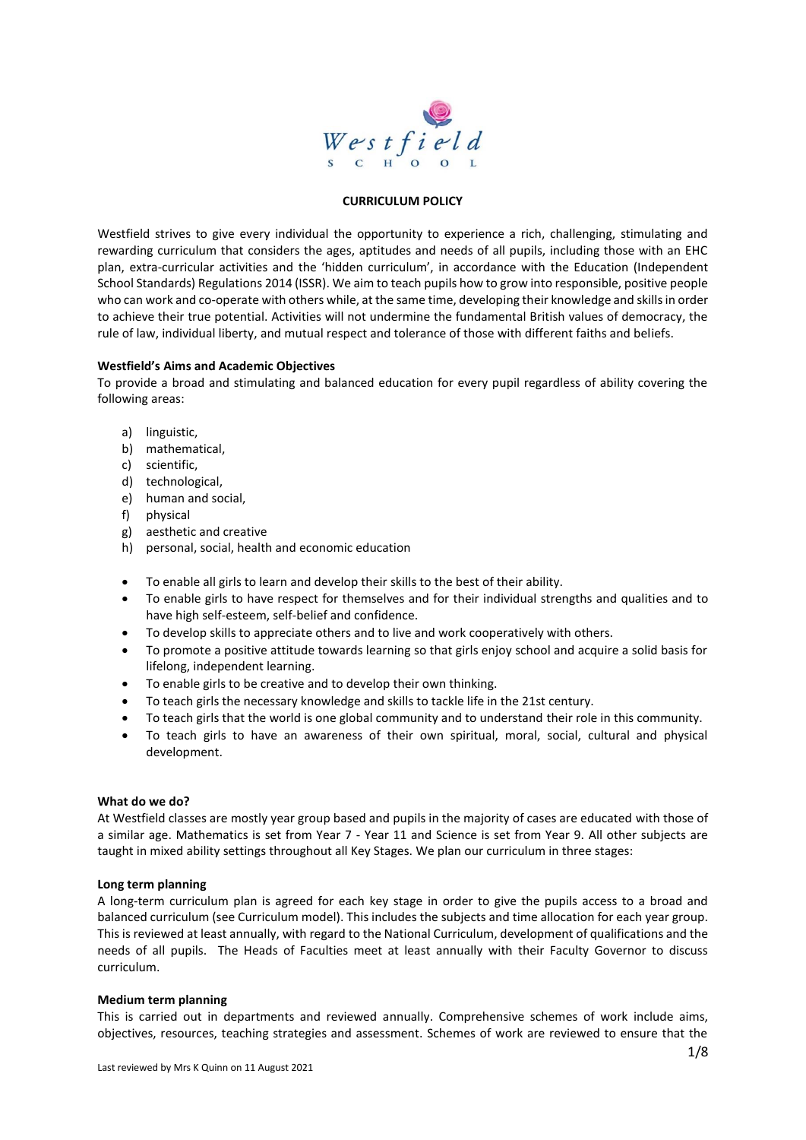

#### **CURRICULUM POLICY**

Westfield strives to give every individual the opportunity to experience a rich, challenging, stimulating and rewarding curriculum that considers the ages, aptitudes and needs of all pupils, including those with an EHC plan, extra-curricular activities and the 'hidden curriculum', in accordance with the Education (Independent School Standards) Regulations 2014 (ISSR). We aim to teach pupils how to grow into responsible, positive people who can work and co-operate with others while, at the same time, developing their knowledge and skills in order to achieve their true potential. Activities will not undermine the fundamental British values of democracy, the rule of law, individual liberty, and mutual respect and tolerance of those with different faiths and beliefs.

#### **Westfield's Aims and Academic Objectives**

To provide a broad and stimulating and balanced education for every pupil regardless of ability covering the following areas:

- a) linguistic,
- b) mathematical,
- c) scientific,
- d) technological,
- e) human and social,
- f) physical
- g) aesthetic and creative
- h) personal, social, health and economic education
- To enable all girls to learn and develop their skills to the best of their ability.
- To enable girls to have respect for themselves and for their individual strengths and qualities and to have high self-esteem, self-belief and confidence.
- To develop skills to appreciate others and to live and work cooperatively with others.
- To promote a positive attitude towards learning so that girls enjoy school and acquire a solid basis for lifelong, independent learning.
- To enable girls to be creative and to develop their own thinking.
- To teach girls the necessary knowledge and skills to tackle life in the 21st century.
- To teach girls that the world is one global community and to understand their role in this community.
- To teach girls to have an awareness of their own spiritual, moral, social, cultural and physical development.

#### **What do we do?**

At Westfield classes are mostly year group based and pupils in the majority of cases are educated with those of a similar age. Mathematics is set from Year 7 - Year 11 and Science is set from Year 9. All other subjects are taught in mixed ability settings throughout all Key Stages. We plan our curriculum in three stages:

#### **Long term planning**

A long-term curriculum plan is agreed for each key stage in order to give the pupils access to a broad and balanced curriculum (see Curriculum model). This includes the subjects and time allocation for each year group. This is reviewed at least annually, with regard to the National Curriculum, development of qualifications and the needs of all pupils. The Heads of Faculties meet at least annually with their Faculty Governor to discuss curriculum.

#### **Medium term planning**

This is carried out in departments and reviewed annually. Comprehensive schemes of work include aims, objectives, resources, teaching strategies and assessment. Schemes of work are reviewed to ensure that the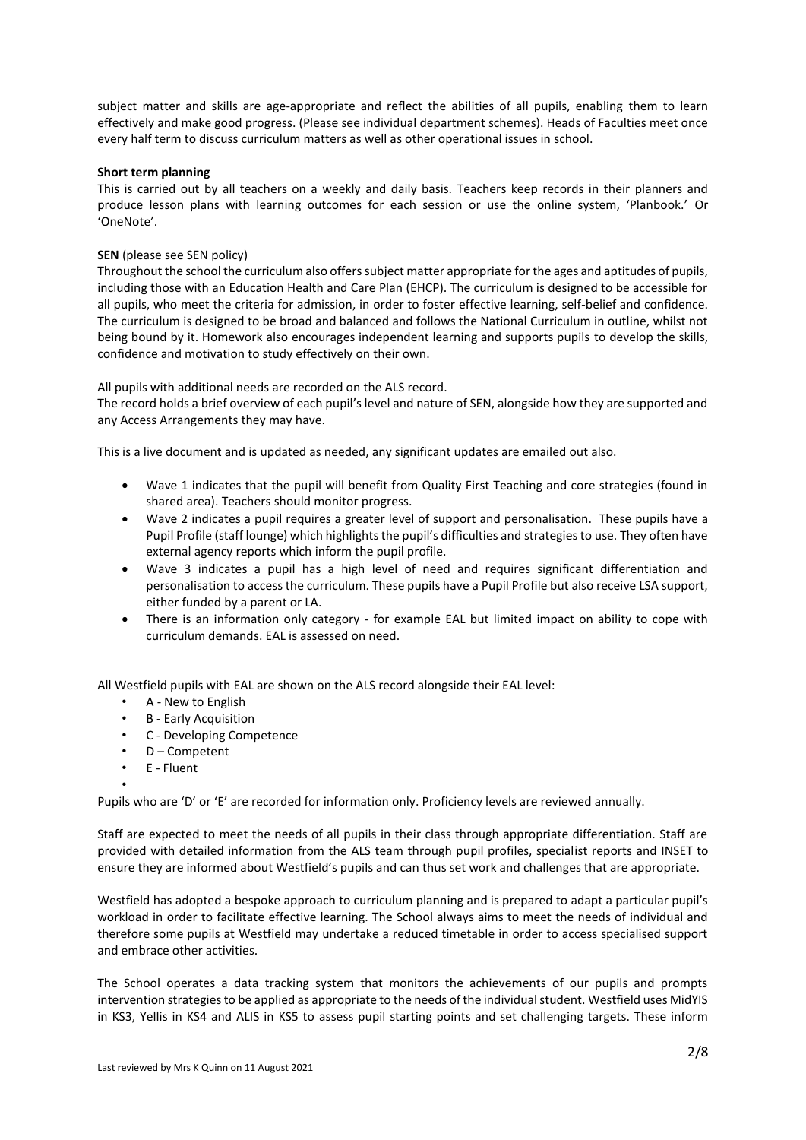subject matter and skills are age-appropriate and reflect the abilities of all pupils, enabling them to learn effectively and make good progress. (Please see individual department schemes). Heads of Faculties meet once every half term to discuss curriculum matters as well as other operational issues in school.

# **Short term planning**

This is carried out by all teachers on a weekly and daily basis. Teachers keep records in their planners and produce lesson plans with learning outcomes for each session or use the online system, 'Planbook.' Or 'OneNote'.

# **SEN** (please see SEN policy)

Throughout the school the curriculum also offers subject matter appropriate for the ages and aptitudes of pupils, including those with an Education Health and Care Plan (EHCP). The curriculum is designed to be accessible for all pupils, who meet the criteria for admission, in order to foster effective learning, self-belief and confidence. The curriculum is designed to be broad and balanced and follows the National Curriculum in outline, whilst not being bound by it. Homework also encourages independent learning and supports pupils to develop the skills, confidence and motivation to study effectively on their own.

All pupils with additional needs are recorded on the ALS record.

The record holds a brief overview of each pupil's level and nature of SEN, alongside how they are supported and any Access Arrangements they may have.

This is a live document and is updated as needed, any significant updates are emailed out also.

- Wave 1 indicates that the pupil will benefit from Quality First Teaching and core strategies (found in shared area). Teachers should monitor progress.
- Wave 2 indicates a pupil requires a greater level of support and personalisation. These pupils have a Pupil Profile (staff lounge) which highlights the pupil's difficulties and strategies to use. They often have external agency reports which inform the pupil profile.
- Wave 3 indicates a pupil has a high level of need and requires significant differentiation and personalisation to access the curriculum. These pupils have a Pupil Profile but also receive LSA support, either funded by a parent or LA.
- There is an information only category for example EAL but limited impact on ability to cope with curriculum demands. EAL is assessed on need.

All Westfield pupils with EAL are shown on the ALS record alongside their EAL level:

- A New to English
- B Early Acquisition
- C Developing Competence
- D Competent
- E Fluent

•

Pupils who are 'D' or 'E' are recorded for information only. Proficiency levels are reviewed annually.

Staff are expected to meet the needs of all pupils in their class through appropriate differentiation. Staff are provided with detailed information from the ALS team through pupil profiles, specialist reports and INSET to ensure they are informed about Westfield's pupils and can thus set work and challenges that are appropriate.

Westfield has adopted a bespoke approach to curriculum planning and is prepared to adapt a particular pupil's workload in order to facilitate effective learning. The School always aims to meet the needs of individual and therefore some pupils at Westfield may undertake a reduced timetable in order to access specialised support and embrace other activities.

The School operates a data tracking system that monitors the achievements of our pupils and prompts intervention strategies to be applied as appropriate to the needs of the individual student. Westfield uses MidYIS in KS3, Yellis in KS4 and ALIS in KS5 to assess pupil starting points and set challenging targets. These inform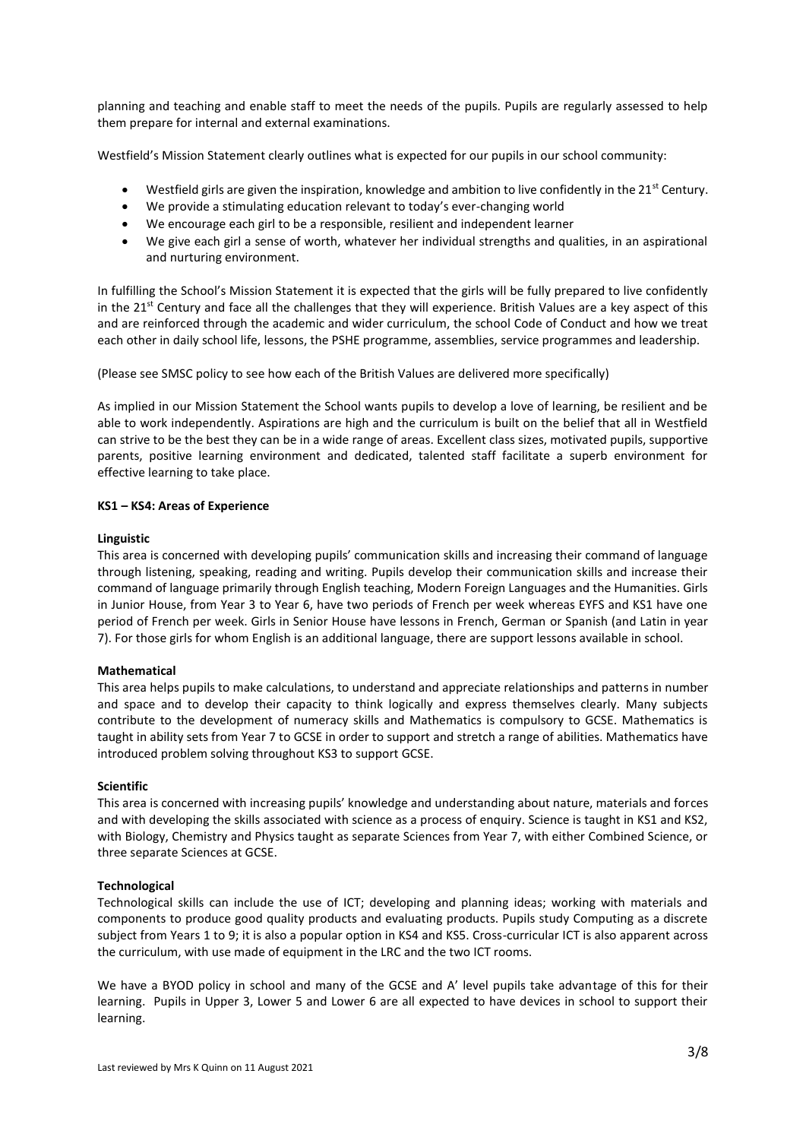planning and teaching and enable staff to meet the needs of the pupils. Pupils are regularly assessed to help them prepare for internal and external examinations.

Westfield's Mission Statement clearly outlines what is expected for our pupils in our school community:

- Westfield girls are given the inspiration, knowledge and ambition to live confidently in the  $21^{st}$  Century.
- We provide a stimulating education relevant to today's ever-changing world
- We encourage each girl to be a responsible, resilient and independent learner
- We give each girl a sense of worth, whatever her individual strengths and qualities, in an aspirational and nurturing environment.

In fulfilling the School's Mission Statement it is expected that the girls will be fully prepared to live confidently in the  $21^{st}$  Century and face all the challenges that they will experience. British Values are a key aspect of this and are reinforced through the academic and wider curriculum, the school Code of Conduct and how we treat each other in daily school life, lessons, the PSHE programme, assemblies, service programmes and leadership.

(Please see SMSC policy to see how each of the British Values are delivered more specifically)

As implied in our Mission Statement the School wants pupils to develop a love of learning, be resilient and be able to work independently. Aspirations are high and the curriculum is built on the belief that all in Westfield can strive to be the best they can be in a wide range of areas. Excellent class sizes, motivated pupils, supportive parents, positive learning environment and dedicated, talented staff facilitate a superb environment for effective learning to take place.

# **KS1 – KS4: Areas of Experience**

# **Linguistic**

This area is concerned with developing pupils' communication skills and increasing their command of language through listening, speaking, reading and writing. Pupils develop their communication skills and increase their command of language primarily through English teaching, Modern Foreign Languages and the Humanities. Girls in Junior House, from Year 3 to Year 6, have two periods of French per week whereas EYFS and KS1 have one period of French per week. Girls in Senior House have lessons in French, German or Spanish (and Latin in year 7). For those girls for whom English is an additional language, there are support lessons available in school.

#### **Mathematical**

This area helps pupils to make calculations, to understand and appreciate relationships and patterns in number and space and to develop their capacity to think logically and express themselves clearly. Many subjects contribute to the development of numeracy skills and Mathematics is compulsory to GCSE. Mathematics is taught in ability sets from Year 7 to GCSE in order to support and stretch a range of abilities. Mathematics have introduced problem solving throughout KS3 to support GCSE.

#### **Scientific**

This area is concerned with increasing pupils' knowledge and understanding about nature, materials and forces and with developing the skills associated with science as a process of enquiry. Science is taught in KS1 and KS2, with Biology, Chemistry and Physics taught as separate Sciences from Year 7, with either Combined Science, or three separate Sciences at GCSE.

#### **Technological**

Technological skills can include the use of ICT; developing and planning ideas; working with materials and components to produce good quality products and evaluating products. Pupils study Computing as a discrete subject from Years 1 to 9; it is also a popular option in KS4 and KS5. Cross-curricular ICT is also apparent across the curriculum, with use made of equipment in the LRC and the two ICT rooms.

We have a BYOD policy in school and many of the GCSE and A' level pupils take advantage of this for their learning. Pupils in Upper 3, Lower 5 and Lower 6 are all expected to have devices in school to support their learning.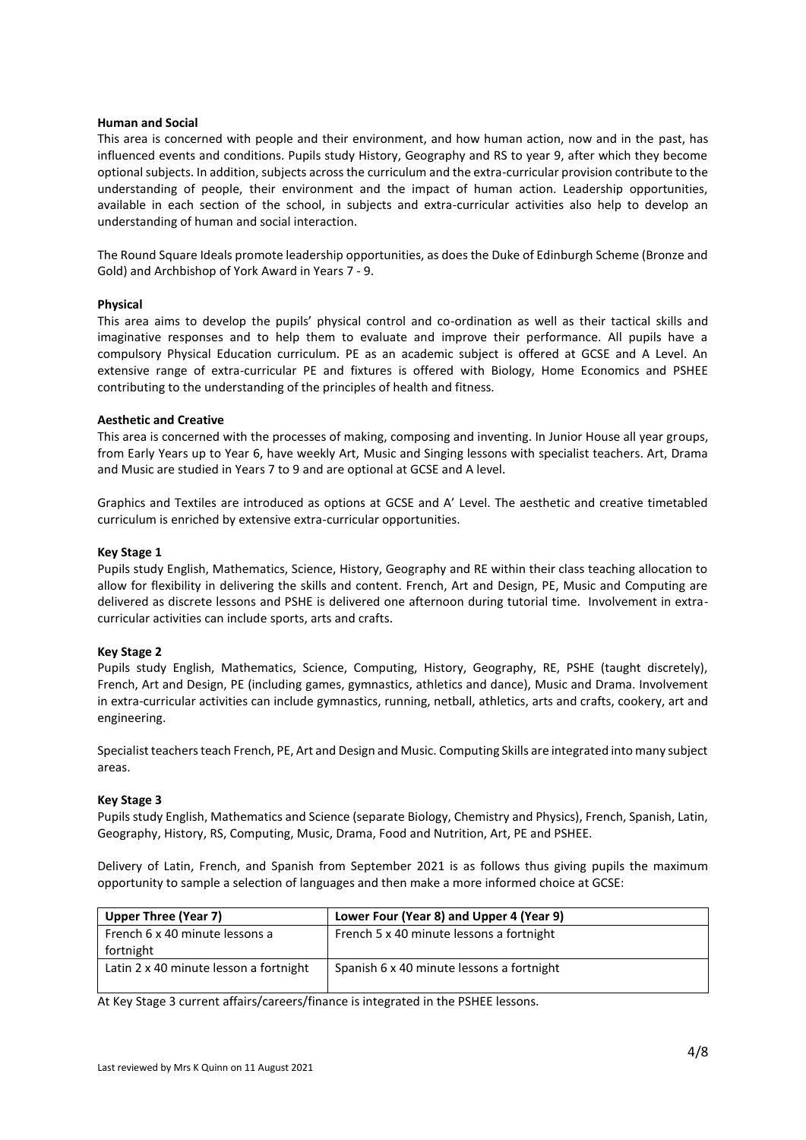## **Human and Social**

This area is concerned with people and their environment, and how human action, now and in the past, has influenced events and conditions. Pupils study History, Geography and RS to year 9, after which they become optional subjects. In addition, subjects across the curriculum and the extra-curricular provision contribute to the understanding of people, their environment and the impact of human action. Leadership opportunities, available in each section of the school, in subjects and extra-curricular activities also help to develop an understanding of human and social interaction.

The Round Square Ideals promote leadership opportunities, as does the Duke of Edinburgh Scheme (Bronze and Gold) and Archbishop of York Award in Years 7 - 9.

# **Physical**

This area aims to develop the pupils' physical control and co-ordination as well as their tactical skills and imaginative responses and to help them to evaluate and improve their performance. All pupils have a compulsory Physical Education curriculum. PE as an academic subject is offered at GCSE and A Level. An extensive range of extra-curricular PE and fixtures is offered with Biology, Home Economics and PSHEE contributing to the understanding of the principles of health and fitness.

# **Aesthetic and Creative**

This area is concerned with the processes of making, composing and inventing. In Junior House all year groups, from Early Years up to Year 6, have weekly Art, Music and Singing lessons with specialist teachers. Art, Drama and Music are studied in Years 7 to 9 and are optional at GCSE and A level.

Graphics and Textiles are introduced as options at GCSE and A' Level. The aesthetic and creative timetabled curriculum is enriched by extensive extra-curricular opportunities.

# **Key Stage 1**

Pupils study English, Mathematics, Science, History, Geography and RE within their class teaching allocation to allow for flexibility in delivering the skills and content. French, Art and Design, PE, Music and Computing are delivered as discrete lessons and PSHE is delivered one afternoon during tutorial time. Involvement in extracurricular activities can include sports, arts and crafts.

#### **Key Stage 2**

Pupils study English, Mathematics, Science, Computing, History, Geography, RE, PSHE (taught discretely), French, Art and Design, PE (including games, gymnastics, athletics and dance), Music and Drama. Involvement in extra-curricular activities can include gymnastics, running, netball, athletics, arts and crafts, cookery, art and engineering.

Specialist teachers teach French, PE, Art and Design and Music. Computing Skills are integrated into many subject areas.

#### **Key Stage 3**

Pupils study English, Mathematics and Science (separate Biology, Chemistry and Physics), French, Spanish, Latin, Geography, History, RS, Computing, Music, Drama, Food and Nutrition, Art, PE and PSHEE.

Delivery of Latin, French, and Spanish from September 2021 is as follows thus giving pupils the maximum opportunity to sample a selection of languages and then make a more informed choice at GCSE:

| <b>Upper Three (Year 7)</b>            | Lower Four (Year 8) and Upper 4 (Year 9)  |
|----------------------------------------|-------------------------------------------|
| French 6 x 40 minute lessons a         | French 5 x 40 minute lessons a fortnight  |
| fortnight                              |                                           |
| Latin 2 x 40 minute lesson a fortnight | Spanish 6 x 40 minute lessons a fortnight |

At Key Stage 3 current affairs/careers/finance is integrated in the PSHEE lessons.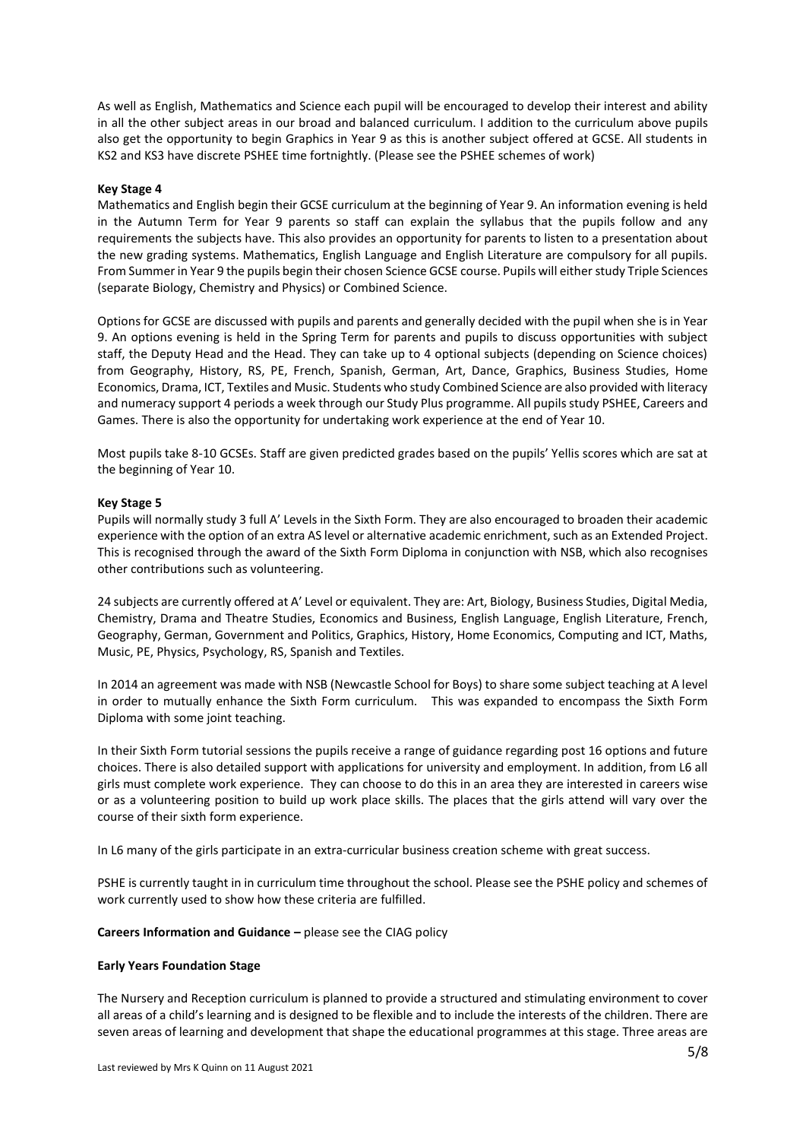As well as English, Mathematics and Science each pupil will be encouraged to develop their interest and ability in all the other subject areas in our broad and balanced curriculum. I addition to the curriculum above pupils also get the opportunity to begin Graphics in Year 9 as this is another subject offered at GCSE. All students in KS2 and KS3 have discrete PSHEE time fortnightly. (Please see the PSHEE schemes of work)

## **Key Stage 4**

Mathematics and English begin their GCSE curriculum at the beginning of Year 9. An information evening is held in the Autumn Term for Year 9 parents so staff can explain the syllabus that the pupils follow and any requirements the subjects have. This also provides an opportunity for parents to listen to a presentation about the new grading systems. Mathematics, English Language and English Literature are compulsory for all pupils. From Summer in Year 9 the pupils begin their chosen Science GCSE course. Pupils will either study Triple Sciences (separate Biology, Chemistry and Physics) or Combined Science.

Options for GCSE are discussed with pupils and parents and generally decided with the pupil when she is in Year 9. An options evening is held in the Spring Term for parents and pupils to discuss opportunities with subject staff, the Deputy Head and the Head. They can take up to 4 optional subjects (depending on Science choices) from Geography, History, RS, PE, French, Spanish, German, Art, Dance, Graphics, Business Studies, Home Economics, Drama, ICT, Textiles and Music. Students who study Combined Science are also provided with literacy and numeracy support 4 periods a week through our Study Plus programme. All pupils study PSHEE, Careers and Games. There is also the opportunity for undertaking work experience at the end of Year 10.

Most pupils take 8-10 GCSEs. Staff are given predicted grades based on the pupils' Yellis scores which are sat at the beginning of Year 10.

#### **Key Stage 5**

Pupils will normally study 3 full A' Levels in the Sixth Form. They are also encouraged to broaden their academic experience with the option of an extra AS level or alternative academic enrichment, such as an Extended Project. This is recognised through the award of the Sixth Form Diploma in conjunction with NSB, which also recognises other contributions such as volunteering.

24 subjects are currently offered at A' Level or equivalent. They are: Art, Biology, Business Studies, Digital Media, Chemistry, Drama and Theatre Studies, Economics and Business, English Language, English Literature, French, Geography, German, Government and Politics, Graphics, History, Home Economics, Computing and ICT, Maths, Music, PE, Physics, Psychology, RS, Spanish and Textiles.

In 2014 an agreement was made with NSB (Newcastle School for Boys) to share some subject teaching at A level in order to mutually enhance the Sixth Form curriculum. This was expanded to encompass the Sixth Form Diploma with some joint teaching.

In their Sixth Form tutorial sessions the pupils receive a range of guidance regarding post 16 options and future choices. There is also detailed support with applications for university and employment. In addition, from L6 all girls must complete work experience. They can choose to do this in an area they are interested in careers wise or as a volunteering position to build up work place skills. The places that the girls attend will vary over the course of their sixth form experience.

In L6 many of the girls participate in an extra-curricular business creation scheme with great success.

PSHE is currently taught in in curriculum time throughout the school. Please see the PSHE policy and schemes of work currently used to show how these criteria are fulfilled.

#### **Careers Information and Guidance –** please see the CIAG policy

#### **Early Years Foundation Stage**

The Nursery and Reception curriculum is planned to provide a structured and stimulating environment to cover all areas of a child's learning and is designed to be flexible and to include the interests of the children. There are seven areas of learning and development that shape the educational programmes at this stage. Three areas are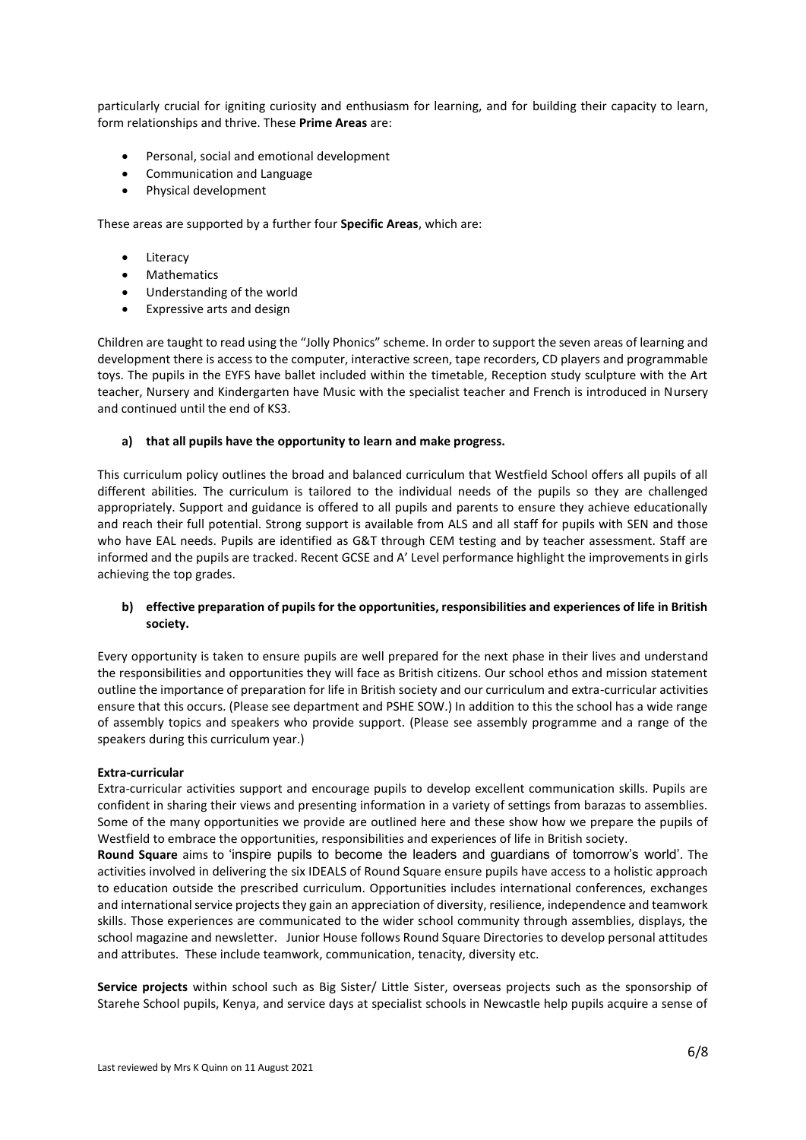particularly crucial for igniting curiosity and enthusiasm for learning, and for building their capacity to learn, form relationships and thrive. These **Prime Areas** are:

- Personal, social and emotional development
- Communication and Language
- Physical development

These areas are supported by a further four **Specific Areas**, which are:

- Literacy
- **Mathematics**
- Understanding of the world
- Expressive arts and design

Children are taught to read using the "Jolly Phonics" scheme. In order to support the seven areas of learning and development there is access to the computer, interactive screen, tape recorders, CD players and programmable toys. The pupils in the EYFS have ballet included within the timetable, Reception study sculpture with the Art teacher, Nursery and Kindergarten have Music with the specialist teacher and French is introduced in Nursery and continued until the end of KS3.

# **a) that all pupils have the opportunity to learn and make progress.**

This curriculum policy outlines the broad and balanced curriculum that Westfield School offers all pupils of all different abilities. The curriculum is tailored to the individual needs of the pupils so they are challenged appropriately. Support and guidance is offered to all pupils and parents to ensure they achieve educationally and reach their full potential. Strong support is available from ALS and all staff for pupils with SEN and those who have EAL needs. Pupils are identified as G&T through CEM testing and by teacher assessment. Staff are informed and the pupils are tracked. Recent GCSE and A' Level performance highlight the improvements in girls achieving the top grades.

# **b) effective preparation of pupils for the opportunities, responsibilities and experiences of life in British society.**

Every opportunity is taken to ensure pupils are well prepared for the next phase in their lives and understand the responsibilities and opportunities they will face as British citizens. Our school ethos and mission statement outline the importance of preparation for life in British society and our curriculum and extra-curricular activities ensure that this occurs. (Please see department and PSHE SOW.) In addition to this the school has a wide range of assembly topics and speakers who provide support. (Please see assembly programme and a range of the speakers during this curriculum year.)

# **Extra-curricular**

Extra-curricular activities support and encourage pupils to develop excellent communication skills. Pupils are confident in sharing their views and presenting information in a variety of settings from barazas to assemblies. Some of the many opportunities we provide are outlined here and these show how we prepare the pupils of Westfield to embrace the opportunities, responsibilities and experiences of life in British society.

**Round Square** aims to 'inspire pupils to become the leaders and guardians of tomorrow's world'. The activities involved in delivering the six IDEALS of Round Square ensure pupils have access to a holistic approach to education outside the prescribed curriculum. Opportunities includes international conferences, exchanges and international service projects they gain an appreciation of diversity, resilience, independence and teamwork skills. Those experiences are communicated to the wider school community through assemblies, displays, the school magazine and newsletter. Junior House follows Round Square Directories to develop personal attitudes and attributes. These include teamwork, communication, tenacity, diversity etc.

**Service projects** within school such as Big Sister/ Little Sister, overseas projects such as the sponsorship of Starehe School pupils, Kenya, and service days at specialist schools in Newcastle help pupils acquire a sense of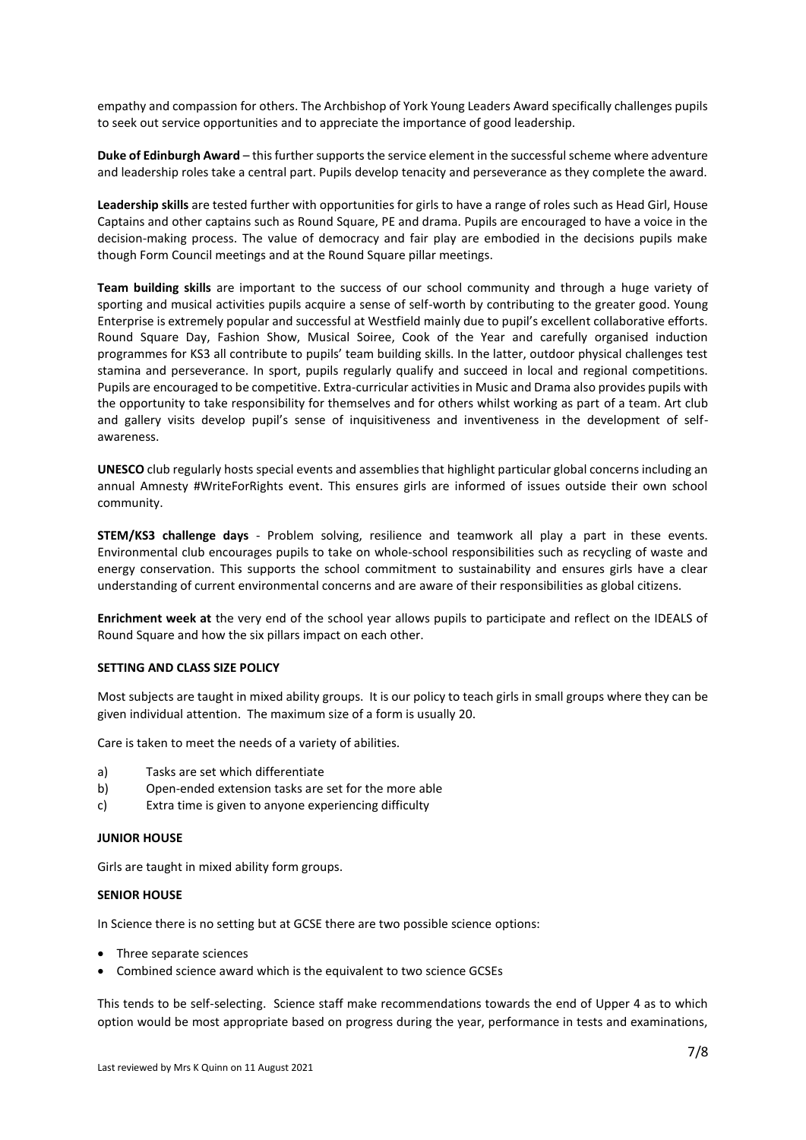empathy and compassion for others. The Archbishop of York Young Leaders Award specifically challenges pupils to seek out service opportunities and to appreciate the importance of good leadership.

**Duke of Edinburgh Award** – this further supports the service element in the successful scheme where adventure and leadership roles take a central part. Pupils develop tenacity and perseverance as they complete the award.

**Leadership skills** are tested further with opportunities for girls to have a range of roles such as Head Girl, House Captains and other captains such as Round Square, PE and drama. Pupils are encouraged to have a voice in the decision-making process. The value of democracy and fair play are embodied in the decisions pupils make though Form Council meetings and at the Round Square pillar meetings.

**Team building skills** are important to the success of our school community and through a huge variety of sporting and musical activities pupils acquire a sense of self-worth by contributing to the greater good. Young Enterprise is extremely popular and successful at Westfield mainly due to pupil's excellent collaborative efforts. Round Square Day, Fashion Show, Musical Soiree, Cook of the Year and carefully organised induction programmes for KS3 all contribute to pupils' team building skills. In the latter, outdoor physical challenges test stamina and perseverance. In sport, pupils regularly qualify and succeed in local and regional competitions. Pupils are encouraged to be competitive. Extra-curricular activities in Music and Drama also provides pupils with the opportunity to take responsibility for themselves and for others whilst working as part of a team. Art club and gallery visits develop pupil's sense of inquisitiveness and inventiveness in the development of selfawareness.

**UNESCO** club regularly hosts special events and assemblies that highlight particular global concerns including an annual Amnesty #WriteForRights event. This ensures girls are informed of issues outside their own school community.

**STEM/KS3 challenge days** - Problem solving, resilience and teamwork all play a part in these events. Environmental club encourages pupils to take on whole-school responsibilities such as recycling of waste and energy conservation. This supports the school commitment to sustainability and ensures girls have a clear understanding of current environmental concerns and are aware of their responsibilities as global citizens.

**Enrichment week at** the very end of the school year allows pupils to participate and reflect on the IDEALS of Round Square and how the six pillars impact on each other.

#### **SETTING AND CLASS SIZE POLICY**

Most subjects are taught in mixed ability groups. It is our policy to teach girls in small groups where they can be given individual attention. The maximum size of a form is usually 20.

Care is taken to meet the needs of a variety of abilities.

- a) Tasks are set which differentiate
- b) Open-ended extension tasks are set for the more able
- c) Extra time is given to anyone experiencing difficulty

#### **JUNIOR HOUSE**

Girls are taught in mixed ability form groups.

#### **SENIOR HOUSE**

In Science there is no setting but at GCSE there are two possible science options:

- Three separate sciences
- Combined science award which is the equivalent to two science GCSEs

This tends to be self-selecting. Science staff make recommendations towards the end of Upper 4 as to which option would be most appropriate based on progress during the year, performance in tests and examinations,